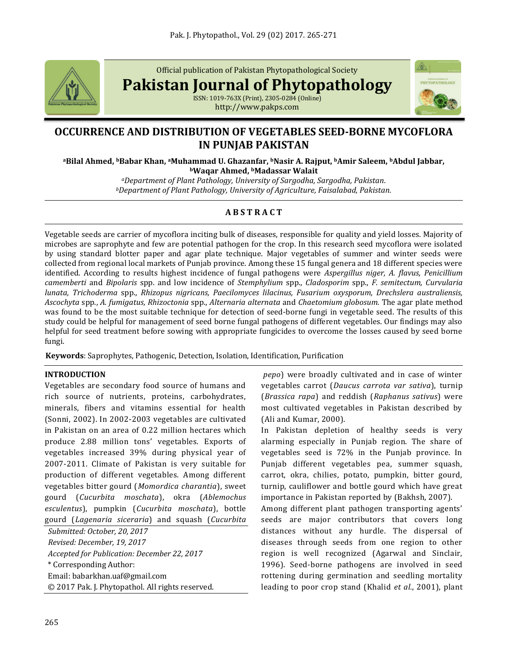

Official publication of Pakistan Phytopathological Society

**Pakistan Journal of Phytopathology**

ISSN: 1019-763X (Print), 2305-0284 (Online) http://www.pakps.com



# **OCCURRENCE AND DISTRIBUTION OF VEGETABLES SEED-BORNE MYCOFLORA IN PUNJAB PAKISTAN**

**<sup>a</sup>Bilal Ahmed, bBabar Khan, aMuhammad U. Ghazanfar, bNasir A. Rajput, bAmir Saleem, bAbdul Jabbar, <sup>b</sup>Waqar Ahmed, bMadassar Walait**

> *<sup>a</sup>Department of Plant Pathology, University of Sargodha, Sargodha, Pakistan. <sup>b</sup>Department of Plant Pathology, University of Agriculture, Faisalabad, Pakistan.*

# **A B S T R A C T**

Vegetable seeds are carrier of mycoflora inciting bulk of diseases, responsible for quality and yield losses. Majority of microbes are saprophyte and few are potential pathogen for the crop. In this research seed mycoflora were isolated by using standard blotter paper and agar plate technique. Major vegetables of summer and winter seeds were collected from regional local markets of Punjab province. Among these 15 fungal genera and 18 different species were identified. According to results highest incidence of fungal pathogens were *Aspergillus niger, A. flavus, Penicillium camemberti* and *Bipolaris* spp. and low incidence of *Stemphylium* spp., *Cladosporim* spp., *F. semitectum, Curvularia lunata, Trichoderma* spp., *Rhizopus nigricans, Paecilomyces lilacinus, Fusarium oxysporum, Drechslera australiensis, Ascochyta* spp., *A. fumigatus, Rhizoctonia* spp., *Alternaria alternata* and *Chaetomium globosum.* The agar plate method was found to be the most suitable technique for detection of seed-borne fungi in vegetable seed. The results of this study could be helpful for management of seed borne fungal pathogens of different vegetables. Our findings may also helpful for seed treatment before sowing with appropriate fungicides to overcome the losses caused by seed borne fungi.

**Keywords**: Saprophytes, Pathogenic, Detection, Isolation, Identification, Purification

#### **INTRODUCTION**

Vegetables are secondary food source of humans and rich source of nutrients, proteins, carbohydrates, minerals, fibers and vitamins essential for health (Sonni, 2002). In 2002-2003 vegetables are cultivated in Pakistan on an area of 0.22 million hectares which produce 2.88 million tons' vegetables. Exports of vegetables increased 39% during physical year of 2007-2011. Climate of Pakistan is very suitable for production of different vegetables. Among different vegetables bitter gourd (*Momordica charantia*), sweet gourd (*Cucurbita moschata*), okra (*Ablemochus esculentus*), pumpkin (*Cucurbita moschata*), bottle gourd (*Lagenaria siceraria*) and squash (*Cucurbita*

*Submitted: October, 20, 2017 Revised: December, 19, 2017 Accepted for Publication: December 22, 2017* \* Corresponding Author: Email[: babarkhan.uaf@gmail.com](mailto:babarkhan.uaf@gmail.com) © 2017 Pak. J. Phytopathol. All rights reserved.

*pepo*) were broadly cultivated and in case of winter vegetables carrot (*Daucus carrota var sativa*), turnip (*Brassica rapa*) and reddish (*Raphanus sativus*) were most cultivated vegetables in Pakistan described by (Ali and Kumar, 2000).

In Pakistan depletion of healthy seeds is very alarming especially in Punjab region. The share of vegetables seed is 72% in the Punjab province. In Punjab different vegetables pea, summer squash, carrot, okra, chilies, potato, pumpkin, bitter gourd, turnip, cauliflower and bottle gourd which have great importance in Pakistan reported by (Bakhsh, 2007).

Among different plant pathogen transporting agents' seeds are major contributors that covers long distances without any hurdle. The dispersal of diseases through seeds from one region to other region is well recognized (Agarwal and Sinclair, 1996). Seed-borne pathogens are involved in seed rottening during germination and seedling mortality leading to poor crop stand (Khalid *et al.*, 2001), plant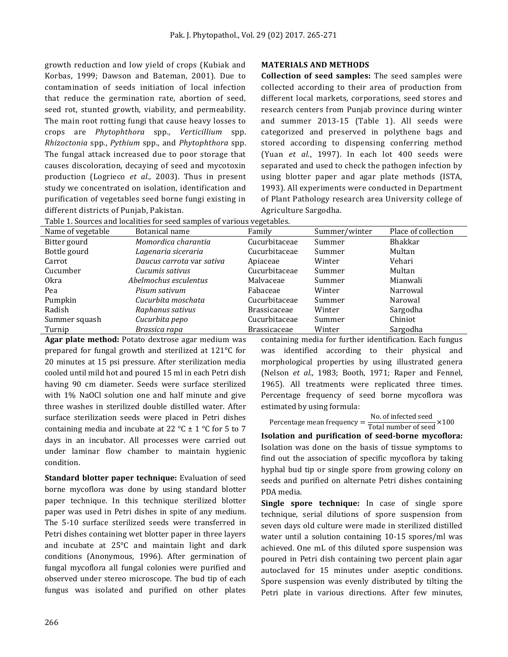growth reduction and low yield of crops (Kubiak and Korbas, 1999; Dawson and Bateman, 2001). Due to contamination of seeds initiation of local infection that reduce the germination rate, abortion of seed, seed rot, stunted growth, viability, and permeability. The main root rotting fungi that cause heavy losses to crops are *Phytophthora* spp.*, Verticillium* spp. *Rhizoctonia* spp., *Pythium* spp., and *Phytophthora* spp. The fungal attack increased due to poor storage that causes discoloration, decaying of seed and mycotoxin production (Logrieco *et al.,* 2003). Thus in present study we concentrated on isolation, identification and purification of vegetables seed borne fungi existing in different districts of Punjab, Pakistan.

#### **MATERIALS AND METHODS**

**Collection of seed samples:** The seed samples were collected according to their area of production from different local markets, corporations, seed stores and research centers from Punjab province during winter and summer 2013-15 (Table 1). All seeds were categorized and preserved in polythene bags and stored according to dispensing conferring method (Yuan *et al*., 1997). In each lot 400 seeds were separated and used to check the pathogen infection by using blotter paper and agar plate methods (ISTA, 1993). All experiments were conducted in Department of Plant Pathology research area University college of Agriculture Sargodha.

| Name of vegetable | Botanical name            | Family              | Summer/winter | Place of collection |
|-------------------|---------------------------|---------------------|---------------|---------------------|
| Bitter gourd      | Momordica charantia       | Cucurbitaceae       | Summer        | <b>Bhakkar</b>      |
| Bottle gourd      | Lagenaria siceraria       | Cucurbitaceae       | Summer        | Multan              |
| Carrot            | Daucus carrota var sativa | Apiaceae            | Winter        | Vehari              |
| Cucumber          | Cucumis sativus           | Cucurbitaceae       | Summer        | Multan              |
| 0kra              | Abelmochus esculentus     | Malvaceae           | Summer        | Mianwali            |
| Pea               | Pisum sativum             | Fabaceae            | Winter        | Narrowal            |
| Pumpkin           | Cucurbita moschata        | Cucurbitaceae       | Summer        | Narowal             |
| Radish            | Raphanus sativus          | <b>Brassicaceae</b> | Winter        | Sargodha            |
| Summer squash     | Cucurbita pepo            | Cucurbitaceae       | Summer        | Chiniot             |
| Turnip            | Brassica rapa             | <b>Brassicaceae</b> | Winter        | Sargodha            |

Table 1. Sources and localities for seed samples of various vegetables.

**Agar plate method:** Potato dextrose agar medium was prepared for fungal growth and sterilized at 121°C for 20 minutes at 15 psi pressure. After sterilization media cooled until mild hot and poured 15 ml in each Petri dish having 90 cm diameter. Seeds were surface sterilized with 1% NaOCl solution one and half minute and give three washes in sterilized double distilled water. After surface sterilization seeds were placed in Petri dishes containing media and incubate at 22  $^{\circ}$ C  $\pm$  1  $^{\circ}$ C for 5 to 7 days in an incubator. All processes were carried out under laminar flow chamber to maintain hygienic condition.

**Standard blotter paper technique:** Evaluation of seed borne mycoflora was done by using standard blotter paper technique. In this technique sterilized blotter paper was used in Petri dishes in spite of any medium. The 5-10 surface sterilized seeds were transferred in Petri dishes containing wet blotter paper in three layers and incubate at 25°C and maintain light and dark conditions (Anonymous, 1996). After germination of fungal mycoflora all fungal colonies were purified and observed under stereo microscope. The bud tip of each fungus was isolated and purified on other plates

containing media for further identification. Each fungus was identified according to their physical and morphological properties by using illustrated genera (Nelson *et al*., 1983; Booth, 1971; Raper and Fennel, 1965). All treatments were replicated three times. Percentage frequency of seed borne mycoflora was estimated by using formula:

Percentage mean frequency  $=$   $\frac{\text{No. of infected seed}}{\text{Total number of seed}} \times 100$ 

**Isolation and purification of seed-borne mycoflora:**  Isolation was done on the basis of tissue symptoms to find out the association of specific mycoflora by taking hyphal bud tip or single spore from growing colony on seeds and purified on alternate Petri dishes containing PDA media.

**Single spore technique:** In case of single spore technique, serial dilutions of spore suspension from seven days old culture were made in sterilized distilled water until a solution containing 10-15 spores/ml was achieved. One mL of this diluted spore suspension was poured in Petri dish containing two percent plain agar autoclaved for 15 minutes under aseptic conditions. Spore suspension was evenly distributed by tilting the Petri plate in various directions. After few minutes,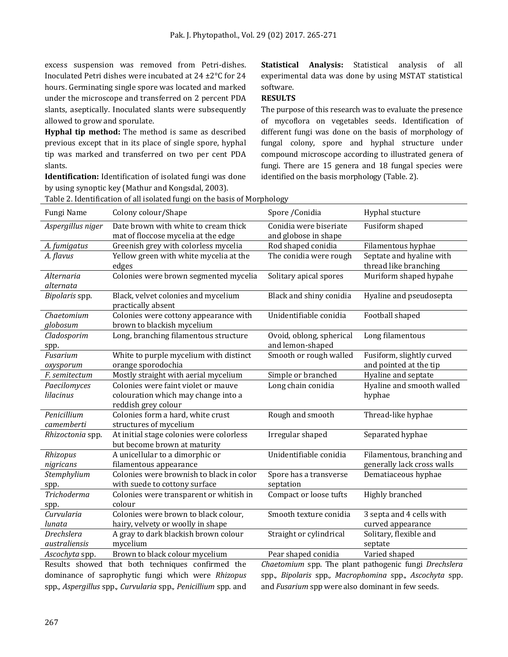excess suspension was removed from Petri-dishes. Inoculated Petri dishes were incubated at 24 ±2°C for 24 hours. Germinating single spore was located and marked under the microscope and transferred on 2 percent PDA slants, aseptically. Inoculated slants were subsequently allowed to grow and sporulate.

**Hyphal tip method:** The method is same as described previous except that in its place of single spore, hyphal tip was marked and transferred on two per cent PDA slants.

**Identification:** Identification of isolated fungi was done by using synoptic key (Mathur and Kongsdal, 2003).

**Statistical Analysis:** Statistical analysis of all experimental data was done by using MSTAT statistical software.

### **RESULTS**

The purpose of this research was to evaluate the presence of mycoflora on vegetables seeds. Identification of different fungi was done on the basis of morphology of fungal colony, spore and hyphal structure under compound microscope according to illustrated genera of fungi. There are 15 genera and 18 fungal species were identified on the basis morphology (Table. 2).

| Table 2. Identification of all isolated fungi on the basis of Morphology |                                                                                                   |                                                |                                                          |  |  |  |  |  |  |
|--------------------------------------------------------------------------|---------------------------------------------------------------------------------------------------|------------------------------------------------|----------------------------------------------------------|--|--|--|--|--|--|
| Fungi Name                                                               | Colony colour/Shape                                                                               | Spore / Conidia                                | Hyphal stucture                                          |  |  |  |  |  |  |
| Aspergillus niger                                                        | Date brown with white to cream thick<br>mat of floccose mycelia at the edge                       | Conidia were biseriate<br>and globose in shape | Fusiform shaped                                          |  |  |  |  |  |  |
| A. fumigatus                                                             | Greenish grey with colorless mycelia                                                              | Rod shaped conidia                             | Filamentous hyphae                                       |  |  |  |  |  |  |
| A. flavus                                                                | Yellow green with white mycelia at the<br>edges                                                   | The conidia were rough                         | Septate and hyaline with<br>thread like branching        |  |  |  |  |  |  |
| Alternaria<br>alternata                                                  | Colonies were brown segmented mycelia                                                             | Solitary apical spores                         | Muriform shaped hypahe                                   |  |  |  |  |  |  |
| Bipolaris spp.                                                           | Black, velvet colonies and mycelium<br>practically absent                                         | Black and shiny conidia                        | Hyaline and pseudosepta                                  |  |  |  |  |  |  |
| Chaetomium<br>globosum                                                   | Colonies were cottony appearance with<br>brown to blackish mycelium                               | Unidentifiable conidia                         | Football shaped                                          |  |  |  |  |  |  |
| Cladosporim<br>spp.                                                      | Long, branching filamentous structure                                                             | Ovoid, oblong, spherical<br>and lemon-shaped   | Long filamentous                                         |  |  |  |  |  |  |
| Fusarium<br>oxysporum                                                    | White to purple mycelium with distinct<br>orange sporodochia                                      | Smooth or rough walled                         | Fusiform, slightly curved<br>and pointed at the tip      |  |  |  |  |  |  |
| F. semitectum                                                            | Mostly straight with aerial mycelium                                                              | Simple or branched                             | Hyaline and septate                                      |  |  |  |  |  |  |
| Paecilomyces<br>lilacinus                                                | Colonies were faint violet or mauve<br>colouration which may change into a<br>reddish grey colour | Long chain conidia                             | Hyaline and smooth walled<br>hyphae                      |  |  |  |  |  |  |
| Penicillium<br>camemberti                                                | Colonies form a hard, white crust<br>structures of mycelium                                       | Rough and smooth                               | Thread-like hyphae                                       |  |  |  |  |  |  |
| Rhizoctonia spp.                                                         | At initial stage colonies were colorless<br>but become brown at maturity                          | Irregular shaped                               | Separated hyphae                                         |  |  |  |  |  |  |
| Rhizopus<br>nigricans                                                    | A unicellular to a dimorphic or<br>filamentous appearance                                         | Unidentifiable conidia                         | Filamentous, branching and<br>generally lack cross walls |  |  |  |  |  |  |
| Stemphylium<br>spp.                                                      | Colonies were brownish to black in color<br>with suede to cottony surface                         | Spore has a transverse<br>septation            | Dematiaceous hyphae                                      |  |  |  |  |  |  |
| <b>Trichoderma</b><br>spp.                                               | Colonies were transparent or whitish in<br>colour                                                 | Compact or loose tufts                         | Highly branched                                          |  |  |  |  |  |  |
| Curvularia<br>lunata                                                     | Colonies were brown to black colour,<br>hairy, velvety or woolly in shape                         | Smooth texture conidia                         | 3 septa and 4 cells with<br>curved appearance            |  |  |  |  |  |  |
| Drechslera<br>australiensis                                              | A gray to dark blackish brown colour<br>mycelium                                                  | Straight or cylindrical                        | Solitary, flexible and<br>septate                        |  |  |  |  |  |  |
| Ascochyta spp.                                                           | Brown to black colour mycelium                                                                    | Pear shaped conidia                            | Varied shaped                                            |  |  |  |  |  |  |
|                                                                          | Results showed that both techniques confirmed the                                                 |                                                | Chaetomium spp. The plant pathogenic fungi Drechslera    |  |  |  |  |  |  |

dominance of saprophytic fungi which were *Rhizopus*  spp.*, Aspergillus* spp.*, Curvularia* spp.*, Penicillium* spp. and spp.*, Bipolaris* spp.*, Macrophomina* spp.*, Ascochyta* spp. and *Fusarium* spp were also dominant in few seeds.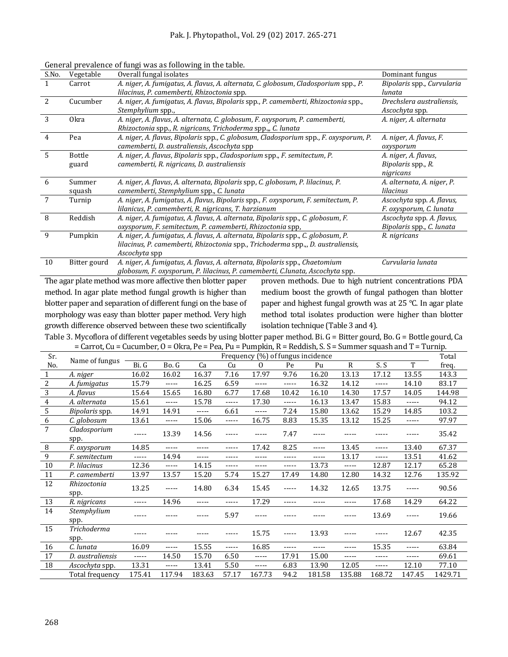| S.No. | Vegetable     | Overall fungal isolates                                                               | Dominant fungus            |
|-------|---------------|---------------------------------------------------------------------------------------|----------------------------|
| 1     | Carrot        | A. niger, A. fumigatus, A. flavus, A. alternata, C. globosum, Cladosporium spp., P.   | Bipolaris spp., Curvularia |
|       |               | lilacinus, P. camemberti, Rhizoctonia spp.                                            | lunata                     |
| 2     | Cucumber      | A. niger, A. fumigatus, A. flavus, Bipolaris spp., P. camemberti, Rhizoctonia spp.,   | Drechslera australiensis,  |
|       |               | Stemphylium spp.,                                                                     | Ascochyta spp.             |
| 3     | <b>Okra</b>   | A. niger, A. flavus, A. alternata, C. globosum, F. oxysporum, P. camemberti,          | A. niger, A. alternata     |
|       |               | Rhizoctonia spp., R. nigricans, Trichoderma spp.,, C. lunata                          |                            |
| 4     | Pea           | A. niger, A. flavus, Bipolaris spp., C. globosum, Cladosporium spp., F. oxysporum, P. | A. niger, A. flavus, F.    |
|       |               | camemberti, D. australiensis, Ascochyta spp                                           | oxysporum                  |
| 5     | <b>Bottle</b> | A. niger, A. flavus, Bipolaris spp., Cladosporium spp., F. semitectum, P.             | A. niger, A. flavus,       |
|       | guard         | camemberti, R. nigricans, D. australiensis                                            | Bipolaris spp., R.         |
|       |               |                                                                                       | nigricans                  |
| 6     | Summer        | A. niger, A. flavus, A. alternata, Bipolaris spp, C. globosum, P. lilacinus, P.       | A. alternata, A. niger, P. |
|       | squash        | camemberti, Stemphylium spp., C. lunata                                               | lilacinus                  |
| 7     | Turnip        | A. niger, A. fumigatus, A. flavus, Bipolaris spp., F. oxysporum, F. semitectum, P.    | Ascochyta spp. A. flavus,  |
|       |               | lilanicus, P. camemberti, R. nigricans, T. harzianum                                  | F. oxysporum, C. lunata    |
| 8     | Reddish       | A. niger, A. fumigatus, A. flavus, A. alternata, Bipolaris spp., C. globosum, F.      | Ascochyta spp. A. flavus,  |
|       |               | oxysporum, F. semitectum, P. camemberti, Rhizoctonia spp,                             | Bipolaris spp., C. lunata  |
| 9     | Pumpkin       | A. niger, A. fumigatus, A. flavus, A. alternata, Bipolaris spp., C. globosum, P.      | R. nigricans               |
|       |               | lilacinus, P. camemberti, Rhizoctonia spp., Trichoderma spp.,, D. australiensis,      |                            |
|       |               | Ascochyta spp                                                                         |                            |
| 10    | Bitter gourd  | A. niger, A. fumigatus, A. flavus, A. alternata, Bipolaris spp., Chaetomium           | Curvularia lunata          |
|       |               | globosum, F. oxysporum, P. lilacinus, P. camemberti, C.lunata, Ascochyta spp.         |                            |

#### General prevalence of fungi was as following in the table.

The agar plate method was more affective then blotter paper method. In agar plate method fungal growth is higher than blotter paper and separation of different fungi on the base of morphology was easy than blotter paper method. Very high growth difference observed between these two scientifically

proven methods. Due to high nutrient concentrations PDA medium boost the growth of fungal pathogen than blotter paper and highest fungal growth was at 25 °C. In agar plate method total isolates production were higher than blotter isolation technique (Table 3 and 4).

Table 3. Mycoflora of different vegetables seeds by using blotter paper method. Bi. G = Bitter gourd, Bo. G = Bottle gourd, Ca  $=$  Carrot, Cu = Cucumber, O = Okra, Pe = Pea, Pu = Pumpkin, R = Reddish, S, S = Summer squash and T = Turnip.

| Sr.              | aarroo aa             | $\mathbf{u}$ is $\mathbf{u}$ in $\mathbf{v}$<br>rea, r a r ampian, r ricadion, oro commici oquasii and r r armpi<br>Frequency (%) of fungus incidence |                        |             |       |                |             |        |          |                 |             |         |
|------------------|-----------------------|-------------------------------------------------------------------------------------------------------------------------------------------------------|------------------------|-------------|-------|----------------|-------------|--------|----------|-----------------|-------------|---------|
|                  | Name of fungus        |                                                                                                                                                       |                        |             |       |                |             |        | Total    |                 |             |         |
| No.              |                       | Bi. G                                                                                                                                                 | Bo. G                  | Ca          | Cu    | $\overline{0}$ | Pe          | Pu     | R        | S.S             | T           | freq.   |
| 1                | A. niger              | 16.02                                                                                                                                                 | 16.02                  | 16.37       | 7.16  | 17.97          | 9.76        | 16.20  | 13.13    | 17.12           | 13.55       | 143.3   |
| $\overline{2}$   | A. fumigatus          | 15.79                                                                                                                                                 | $\cdots$               | 16.25       | 6.59  | $- - - - -$    | $\cdots$    | 16.32  | 14.12    | $\cdots \cdots$ | 14.10       | 83.17   |
| $\overline{3}$   | A. flavus             | 15.64                                                                                                                                                 | 15.65                  | 16.80       | 6.77  | 17.68          | 10.42       | 16.10  | 14.30    | 17.57           | 14.05       | 144.98  |
| $\overline{4}$   | A. alternata          | 15.61                                                                                                                                                 | $- - - - -$            | 15.78       | ----- | 17.30          | $- - - - -$ | 16.13  | 13.47    | 15.83           | $- - - - -$ | 94.12   |
| 5                | Bipolaris spp.        | 14.91                                                                                                                                                 | 14.91                  | $- - - - -$ | 6.61  | $- - - - -$    | 7.24        | 15.80  | 13.62    | 15.29           | 14.85       | 103.2   |
| $\boldsymbol{6}$ | C. globosum           | 13.61                                                                                                                                                 | $- - - - -$            | 15.06       | ----- | 16.75          | 8.83        | 15.35  | 13.12    | 15.25           | $- - - - -$ | 97.97   |
| $\overline{7}$   | Cladosporium<br>spp.  | -----                                                                                                                                                 | 13.39                  | 14.56       | ----- | -----          | 7.47        | -----  |          |                 |             | 35.42   |
| $\, 8$           | F. oxysporum          | 14.85                                                                                                                                                 | -----                  | -----       | ----- | 17.42          | 8.25        | -----  | 13.45    | -----           | 13.40       | 67.37   |
| $\overline{9}$   | F. semitectum         | -----                                                                                                                                                 | 14.94                  | -----       | ----- | -----          | -----       | -----  | 13.17    | -----           | 13.51       | 41.62   |
| 10               | P. lilacinus          | 12.36                                                                                                                                                 | $\cdots$               | 14.15       | ----- | -----          | -----       | 13.73  | $\cdots$ | 12.87           | 12.17       | 65.28   |
| 11               | P. camemberti         | 13.97                                                                                                                                                 | 13.57                  | 15.20       | 5.74  | 15.27          | 17.49       | 14.80  | 12.80    | 14.32           | 12.76       | 135.92  |
| 12               | Rhizoctonia<br>spp.   | 13.25                                                                                                                                                 | -----                  | 14.80       | 6.34  | 15.45          | -----       | 14.32  | 12.65    | 13.75           | -----       | 90.56   |
| 13               | R. nigricans          | $\cdots$                                                                                                                                              | 14.96                  | -----       | ----- | 17.29          | -----       | -----  | -----    | 17.68           | 14.29       | 64.22   |
| 14               | Stemphylium<br>spp.   | -----                                                                                                                                                 |                        |             | 5.97  |                |             |        |          | 13.69           |             | 19.66   |
| 15               | Trichoderma<br>spp.   |                                                                                                                                                       |                        |             |       | 15.75          | -----       | 13.93  |          |                 | 12.67       | 42.35   |
| 16               | C. lunata             | 16.09                                                                                                                                                 | -----                  | 15.55       | ----- | 16.85          | -----       | -----  | -----    | 15.35           | -----       | 63.84   |
| 17               | D. australiensis      | $\cdots$                                                                                                                                              | 14.50                  | 15.70       | 6.50  | -----          | 17.91       | 15.00  | -----    | $- - - - -$     | $- - - - -$ | 69.61   |
| 18               | <i>Ascochyta</i> spp. | 13.31                                                                                                                                                 | $\cdots \cdots \cdots$ | 13.41       | 5.50  | -----          | 6.83        | 13.90  | 12.05    | $- - - - -$     | 12.10       | 77.10   |
|                  | Total frequency       | 175.41                                                                                                                                                | 117.94                 | 183.63      | 57.17 | 167.73         | 94.2        | 181.58 | 135.88   | 168.72          | 147.45      | 1429.71 |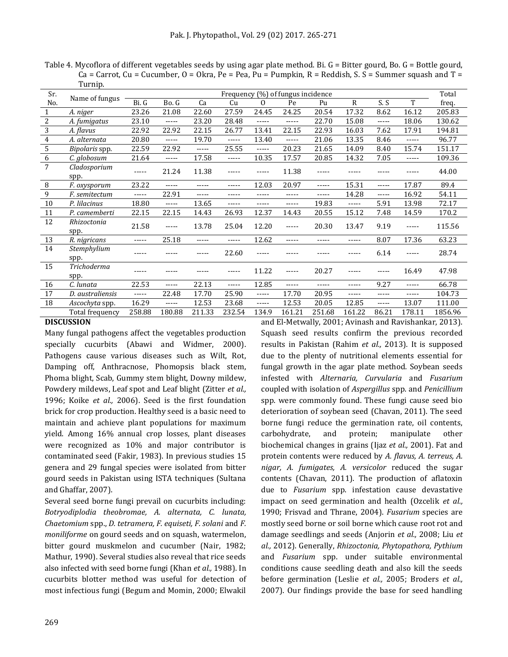Table 4. Mycoflora of different vegetables seeds by using agar plate method. Bi. G = Bitter gourd, Bo. G = Bottle gourd,  $Ca = Carrot, Cu = Cucumber, O = Okra, Pe = Pea, Pu = Pumpkin, R = Reddish, S. S = Summer squash and T =$ Turnip.

| Sr.              |                      | Frequency (%) of fungus incidence |             |             |             |          |        |        |              | Total    |        |         |
|------------------|----------------------|-----------------------------------|-------------|-------------|-------------|----------|--------|--------|--------------|----------|--------|---------|
| No.              | Name of fungus       | Bi. G                             | Bo. G       | Ca          | Cu          | $\Omega$ | Pe     | Pu     | $\mathbb{R}$ | S.S      | T      | freq.   |
| $\mathbf{1}$     | A. niger             | 23.26                             | 21.08       | 22.60       | 27.59       | 24.45    | 24.25  | 20.54  | 17.32        | 8.62     | 16.12  | 205.83  |
| $\overline{2}$   | A. fumigatus         | 23.10                             | -----       | 23.20       | 28.48       | -----    | -----  | 22.70  | 15.08        | -----    | 18.06  | 130.62  |
| $\sqrt{3}$       | A. flavus            | 22.92                             | 22.92       | 22.15       | 26.77       | 13.41    | 22.15  | 22.93  | 16.03        | 7.62     | 17.91  | 194.81  |
| $\boldsymbol{4}$ | A. alternata         | 20.80                             | $- - - - -$ | 19.70       | $- - - - -$ | 13.40    | -----  | 21.06  | 13.35        | 8.46     | -----  | 96.77   |
| $\mathsf S$      | Bipolaris spp.       | 22.59                             | 22.92       | $- - - - -$ | 25.55       | -----    | 20.23  | 21.65  | 14.09        | 8.40     | 15.74  | 151.17  |
| $\overline{6}$   | C. globosum          | 21.64                             | $- - - - -$ | 17.58       | $- - - - -$ | 10.35    | 17.57  | 20.85  | 14.32        | 7.05     | -----  | 109.36  |
| $\overline{7}$   | Cladosporium<br>spp. | -----                             | 21.24       | 11.38       | -----       | -----    | 11.38  | -----  |              |          |        | 44.00   |
| $\, 8$           | F. oxysporum         | 23.22                             | -----       | -----       | -----       | 12.03    | 20.97  | -----  | 15.31        | -----    | 17.87  | 89.4    |
| $\boldsymbol{9}$ | F. semitectum        | -----                             | 22.91       | -----       | -----       | -----    | -----  | -----  | 14.28        | $\cdots$ | 16.92  | 54.11   |
| 10               | P. lilacinus         | 18.80                             | $\cdots$    | 13.65       | -----       |          | -----  | 19.83  | -----        | 5.91     | 13.98  | 72.17   |
| 11               | P. camemberti        | 22.15                             | 22.15       | 14.43       | 26.93       | 12.37    | 14.43  | 20.55  | 15.12        | 7.48     | 14.59  | 170.2   |
| 12               | Rhizoctonia<br>spp.  | 21.58                             | -----       | 13.78       | 25.04       | 12.20    | -----  | 20.30  | 13.47        | 9.19     | -----  | 115.56  |
| 13               | R. nigricans         | -----                             | 25.18       | -----       | -----       | 12.62    | -----  | -----  | -----        | 8.07     | 17.36  | 63.23   |
| 14               | Stemphylium<br>spp.  |                                   |             |             | 22.60       |          |        |        |              | 6.14     |        | 28.74   |
| 15               | Trichoderma<br>spp.  |                                   |             |             | -----       | 11.22    |        | 20.27  |              |          | 16.49  | 47.98   |
| 16               | C. lunata            | 22.53                             | -----       | 22.13       | $- - - - -$ | 12.85    | -----  | -----  | -----        | 9.27     | -----  | 66.78   |
| 17               | D. australiensis     | -----                             | 22.48       | 17.70       | 25.90       | -----    | 17.70  | 20.95  | -----        | -----    | -----  | 104.73  |
| 18               | Ascochyta spp.       | 16.29                             | -----       | 12.53       | 23.68       | -----    | 12.53  | 20.05  | 12.85        | -----    | 13.07  | 111.00  |
|                  | Total frequency      | 258.88                            | 180.88      | 211.33      | 232.54      | 134.9    | 161.21 | 251.68 | 161.22       | 86.21    | 178.11 | 1856.96 |

#### **DISCUSSION**

Many fungal pathogens affect the vegetables production specially cucurbits (Abawi and Widmer, 2000). Pathogens cause various diseases such as Wilt, Rot, Damping off, Anthracnose, Phomopsis black stem, Phoma blight, Scab, Gummy stem blight, Downy mildew, Powdery mildews, Leaf spot and Leaf blight (Zitter *et al.,* 1996; Koike *et al.,* 2006). Seed is the first foundation brick for crop production. Healthy seed is a basic need to maintain and achieve plant populations for maximum yield. Among 16% annual crop losses, plant diseases were recognized as 10% and major contributor is contaminated seed (Fakir, 1983). In previous studies 15 genera and 29 fungal species were isolated from bitter gourd seeds in Pakistan using ISTA techniques (Sultana and Ghaffar, 2007).

Several seed borne fungi prevail on cucurbits including: *Botryodiplodia theobromae, A. alternata, C. lunata, Chaetomium* spp., *D. tetramera, F. equiseti, F. solani* and *F. moniliforme* on gourd seeds and on squash, watermelon, bitter gourd muskmelon and cucumber (Nair, 1982; Mathur, 1990). Several studies also reveal that rice seeds also infected with seed borne fungi (Khan *et al.,* 1988). In cucurbits blotter method was useful for detection of most infectious fungi (Begum and Momin, 2000; Elwakil

and El-Metwally, 2001; Avinash and Ravishankar, 2013). Squash seed results confirm the previous recorded results in Pakistan (Rahim *et al.,* 2013). It is supposed due to the plenty of nutritional elements essential for fungal growth in the agar plate method. Soybean seeds infested with *Alternaria, Curvularia* and *Fusarium* coupled with isolation of *Aspergillus* spp. and *Penicillium*  spp. were commonly found. These fungi cause seed bio deterioration of soybean seed (Chavan, 2011). The seed borne fungi reduce the germination rate, oil contents, carbohydrate, and protein; manipulate other biochemical changes in grains (Ijaz *et al.,* 2001). Fat and protein contents were reduced by *A. flavus, A. terreus, A. nigar, A. fumigates, A. versicolor* reduced the sugar contents (Chavan, 2011). The production of aflatoxin due to *Fusarium* spp. infestation cause devastative impact on seed germination and health (Ozcelik *et al.,* 1990; Frisvad and Thrane, 2004). *Fusarium* species are mostly seed borne or soil borne which cause root rot and damage seedlings and seeds (Anjorin *et al.,* 2008; Liu *et al.,* 2012). Generally, *Rhizoctonia, Phytopathora, Pythium* and *Fusarium* spp. under suitable environmental conditions cause seedling death and also kill the seeds before germination (Leslie *et al.,* 2005; Broders *et al.,* 2007). Our findings provide the base for seed handling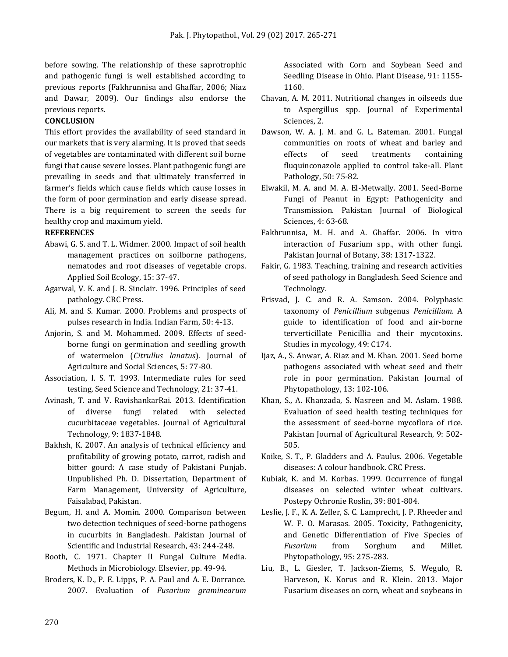before sowing. The relationship of these saprotrophic and pathogenic fungi is well established according to previous reports (Fakhrunnisa and Ghaffar, 2006; Niaz and Dawar, 2009). Our findings also endorse the previous reports.

# **CONCLUSION**

This effort provides the availability of seed standard in our markets that is very alarming. It is proved that seeds of vegetables are contaminated with different soil borne fungi that cause severe losses. Plant pathogenic fungi are prevailing in seeds and that ultimately transferred in farmer's fields which cause fields which cause losses in the form of poor germination and early disease spread. There is a big requirement to screen the seeds for healthy crop and maximum yield.

## **REFERENCES**

- Abawi, G. S. and T. L. Widmer. 2000. Impact of soil health management practices on soilborne pathogens, nematodes and root diseases of vegetable crops. Applied Soil Ecology, 15: 37-47.
- Agarwal, V. K. and J. B. Sinclair. 1996. Principles of seed pathology. CRC Press.
- Ali, M. and S. Kumar. 2000. Problems and prospects of pulses research in India. Indian Farm, 50: 4-13.
- Anjorin, S. and M. Mohammed. 2009. Effects of seedborne fungi on germination and seedling growth of watermelon (*Citrullus lanatus*). Journal of Agriculture and Social Sciences, 5: 77-80.
- Association, I. S. T. 1993. Intermediate rules for seed testing. Seed Science and Technology, 21: 37-41.
- Avinash, T. and V. RavishankarRai. 2013. Identification of diverse fungi related with selected cucurbitaceae vegetables. Journal of Agricultural Technology, 9: 1837-1848.
- Bakhsh, K. 2007. An analysis of technical efficiency and profitability of growing potato, carrot, radish and bitter gourd: A case study of Pakistani Punjab. Unpublished Ph. D. Dissertation, Department of Farm Management, University of Agriculture, Faisalabad, Pakistan.
- Begum, H. and A. Momin. 2000. Comparison between two detection techniques of seed-borne pathogens in cucurbits in Bangladesh. Pakistan Journal of Scientific and Industrial Research, 43: 244-248.
- Booth, C. 1971. Chapter II Fungal Culture Media. Methods in Microbiology. Elsevier, pp. 49-94.
- Broders, K. D., P. E. Lipps, P. A. Paul and A. E. Dorrance. 2007. Evaluation of *Fusarium graminearum*

Associated with Corn and Soybean Seed and Seedling Disease in Ohio. Plant Disease, 91: 1155- 1160.

- Chavan, A. M. 2011. Nutritional changes in oilseeds due to Aspergillus spp. Journal of Experimental Sciences, 2.
- Dawson, W. A. J. M. and G. L. Bateman. 2001. Fungal communities on roots of wheat and barley and effects of seed treatments containing fluquinconazole applied to control take-all. Plant Pathology, 50: 75-82.
- Elwakil, M. A. and M. A. El-Metwally. 2001. Seed-Borne Fungi of Peanut in Egypt: Pathogenicity and Transmission. Pakistan Journal of Biological Sciences, 4: 63-68.
- Fakhrunnisa, M. H. and A. Ghaffar. 2006. In vitro interaction of Fusarium spp., with other fungi. Pakistan Journal of Botany, 38: 1317-1322.
- Fakir, G. 1983. Teaching, training and research activities of seed pathology in Bangladesh. Seed Science and Technology.
- Frisvad, J. C. and R. A. Samson. 2004. Polyphasic taxonomy of *Penicillium* subgenus *Penicillium*. A guide to identification of food and air-borne terverticillate Penicillia and their mycotoxins. Studies in mycology, 49: C174.
- Ijaz, A., S. Anwar, A. Riaz and M. Khan. 2001. Seed borne pathogens associated with wheat seed and their role in poor germination. Pakistan Journal of Phytopathology, 13: 102-106.
- Khan, S., A. Khanzada, S. Nasreen and M. Aslam. 1988. Evaluation of seed health testing techniques for the assessment of seed-borne mycoflora of rice. Pakistan Journal of Agricultural Research, 9: 502- 505.
- Koike, S. T., P. Gladders and A. Paulus. 2006. Vegetable diseases: A colour handbook. CRC Press.
- Kubiak, K. and M. Korbas. 1999. Occurrence of fungal diseases on selected winter wheat cultivars. Postepy Ochronie Roslin, 39: 801-804.
- Leslie, J. F., K. A. Zeller, S. C. Lamprecht, J. P. Rheeder and W. F. O. Marasas. 2005. Toxicity, Pathogenicity, and Genetic Differentiation of Five Species of *Fusarium* from Sorghum and Millet. Phytopathology, 95: 275-283.
- Liu, B., L. Giesler, T. Jackson-Ziems, S. Wegulo, R. Harveson, K. Korus and R. Klein. 2013. Major Fusarium diseases on corn, wheat and soybeans in